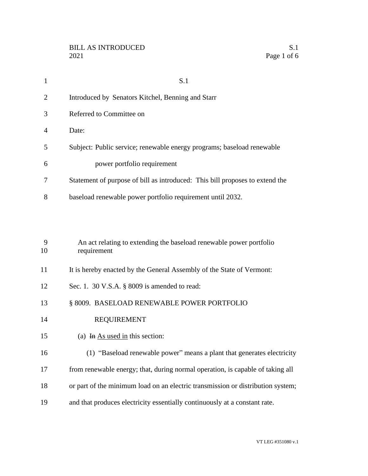| $\mathbf{1}$ | S.1                                                                                |
|--------------|------------------------------------------------------------------------------------|
| 2            | Introduced by Senators Kitchel, Benning and Starr                                  |
| 3            | Referred to Committee on                                                           |
| 4            | Date:                                                                              |
| 5            | Subject: Public service; renewable energy programs; baseload renewable             |
| 6            | power portfolio requirement                                                        |
| 7            | Statement of purpose of bill as introduced: This bill proposes to extend the       |
| 8            | baseload renewable power portfolio requirement until 2032.                         |
| 9<br>10      | An act relating to extending the baseload renewable power portfolio<br>requirement |
| 11           | It is hereby enacted by the General Assembly of the State of Vermont:              |
| 12           | Sec. 1. 30 V.S.A. § 8009 is amended to read:                                       |
| 13           | § 8009. BASELOAD RENEWABLE POWER PORTFOLIO                                         |
| 14           | <b>REQUIREMENT</b>                                                                 |
| 15           | (a) In $\overline{As}$ used in this section:                                       |
| 16           | (1) "Baseload renewable power" means a plant that generates electricity            |
| 17           | from renewable energy; that, during normal operation, is capable of taking all     |
| 18           | or part of the minimum load on an electric transmission or distribution system;    |
| 19           | and that produces electricity essentially continuously at a constant rate.         |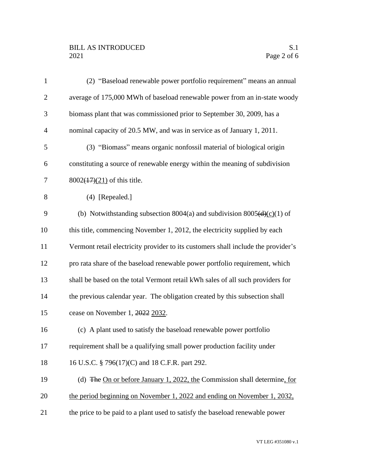## BILL AS INTRODUCED<br>2021 Page 2 of 6

| $\mathbf{1}$   | (2) "Baseload renewable power portfolio requirement" means an annual                |
|----------------|-------------------------------------------------------------------------------------|
| $\overline{2}$ | average of 175,000 MWh of baseload renewable power from an in-state woody           |
| 3              | biomass plant that was commissioned prior to September 30, 2009, has a              |
| $\overline{4}$ | nominal capacity of 20.5 MW, and was in service as of January 1, 2011.              |
| 5              | (3) "Biomass" means organic nonfossil material of biological origin                 |
| 6              | constituting a source of renewable energy within the meaning of subdivision         |
| $\tau$         | $8002(17)(21)$ of this title.                                                       |
| 8              | $(4)$ [Repealed.]                                                                   |
| 9              | (b) Notwithstanding subsection 8004(a) and subdivision 8005( $\frac{d}{c}(c)(1)$ of |
| 10             | this title, commencing November 1, 2012, the electricity supplied by each           |
| 11             | Vermont retail electricity provider to its customers shall include the provider's   |
| 12             | pro rata share of the baseload renewable power portfolio requirement, which         |
| 13             | shall be based on the total Vermont retail kWh sales of all such providers for      |
| 14             | the previous calendar year. The obligation created by this subsection shall         |
| 15             | cease on November 1, 2022 2032.                                                     |
| 16             | (c) A plant used to satisfy the baseload renewable power portfolio                  |
| 17             | requirement shall be a qualifying small power production facility under             |
| 18             | 16 U.S.C. § 796(17)(C) and 18 C.F.R. part 292.                                      |
| 19             | (d) The On or before January 1, 2022, the Commission shall determine, for           |
| 20             | the period beginning on November 1, 2022 and ending on November 1, 2032,            |
| 21             | the price to be paid to a plant used to satisfy the baseload renewable power        |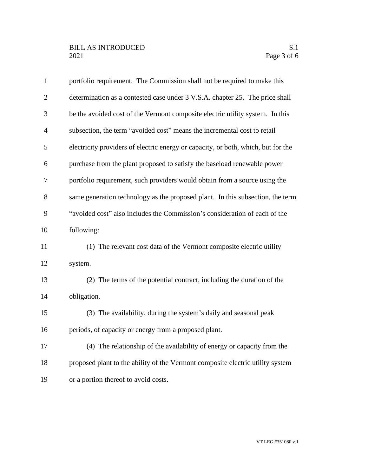| $\mathbf{1}$   | portfolio requirement. The Commission shall not be required to make this          |
|----------------|-----------------------------------------------------------------------------------|
| $\overline{2}$ | determination as a contested case under 3 V.S.A. chapter 25. The price shall      |
| 3              | be the avoided cost of the Vermont composite electric utility system. In this     |
| $\overline{4}$ | subsection, the term "avoided cost" means the incremental cost to retail          |
| 5              | electricity providers of electric energy or capacity, or both, which, but for the |
| 6              | purchase from the plant proposed to satisfy the baseload renewable power          |
| $\overline{7}$ | portfolio requirement, such providers would obtain from a source using the        |
| 8              | same generation technology as the proposed plant. In this subsection, the term    |
| 9              | "avoided cost" also includes the Commission's consideration of each of the        |
| 10             | following:                                                                        |
| 11             | (1) The relevant cost data of the Vermont composite electric utility              |
| 12             | system.                                                                           |
| 13             | (2) The terms of the potential contract, including the duration of the            |
| 14             | obligation.                                                                       |
| 15             | (3) The availability, during the system's daily and seasonal peak                 |
| 16             | periods, of capacity or energy from a proposed plant.                             |
| 17             | (4) The relationship of the availability of energy or capacity from the           |
| 18             | proposed plant to the ability of the Vermont composite electric utility system    |
| 19             | or a portion thereof to avoid costs.                                              |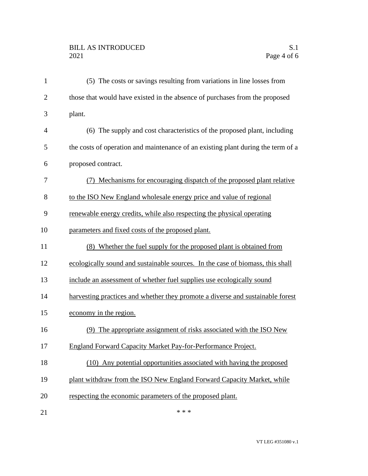## BILL AS INTRODUCED<br>2021 Page 4 of 6

| $\mathbf{1}$   | (5) The costs or savings resulting from variations in line losses from           |
|----------------|----------------------------------------------------------------------------------|
| $\overline{2}$ | those that would have existed in the absence of purchases from the proposed      |
| 3              | plant.                                                                           |
| $\overline{4}$ | (6) The supply and cost characteristics of the proposed plant, including         |
| 5              | the costs of operation and maintenance of an existing plant during the term of a |
| 6              | proposed contract.                                                               |
| 7              | Mechanisms for encouraging dispatch of the proposed plant relative               |
| 8              | to the ISO New England wholesale energy price and value of regional              |
| 9              | renewable energy credits, while also respecting the physical operating           |
| 10             | parameters and fixed costs of the proposed plant.                                |
| 11             | (8) Whether the fuel supply for the proposed plant is obtained from              |
| 12             | ecologically sound and sustainable sources. In the case of biomass, this shall   |
| 13             | include an assessment of whether fuel supplies use ecologically sound            |
| 14             | harvesting practices and whether they promote a diverse and sustainable forest   |
| 15             | economy in the region.                                                           |
| 16             | (9) The appropriate assignment of risks associated with the ISO New              |
| 17             | <b>England Forward Capacity Market Pay-for-Performance Project.</b>              |
| 18             | (10) Any potential opportunities associated with having the proposed             |
| 19             | plant withdraw from the ISO New England Forward Capacity Market, while           |
| 20             | respecting the economic parameters of the proposed plant.                        |
| 21             | * * *                                                                            |

VT LEG #351080 v.1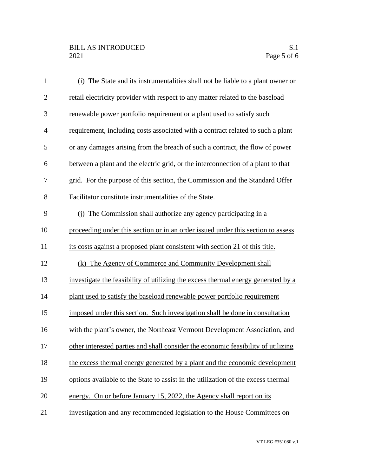| $\mathbf{1}$   | (i) The State and its instrumentalities shall not be liable to a plant owner or   |
|----------------|-----------------------------------------------------------------------------------|
| $\overline{2}$ | retail electricity provider with respect to any matter related to the baseload    |
| 3              | renewable power portfolio requirement or a plant used to satisfy such             |
| $\overline{4}$ | requirement, including costs associated with a contract related to such a plant   |
| 5              | or any damages arising from the breach of such a contract, the flow of power      |
| 6              | between a plant and the electric grid, or the interconnection of a plant to that  |
| 7              | grid. For the purpose of this section, the Commission and the Standard Offer      |
| 8              | Facilitator constitute instrumentalities of the State.                            |
| 9              | (i) The Commission shall authorize any agency participating in a                  |
| 10             | proceeding under this section or in an order issued under this section to assess  |
| 11             | its costs against a proposed plant consistent with section 21 of this title.      |
| 12             | (k) The Agency of Commerce and Community Development shall                        |
| 13             | investigate the feasibility of utilizing the excess thermal energy generated by a |
| 14             | plant used to satisfy the baseload renewable power portfolio requirement          |
| 15             | imposed under this section. Such investigation shall be done in consultation      |
| 16             | with the plant's owner, the Northeast Vermont Development Association, and        |
| 17             | other interested parties and shall consider the economic feasibility of utilizing |
| 18             | the excess thermal energy generated by a plant and the economic development       |
| 19             | options available to the State to assist in the utilization of the excess thermal |
| 20             | energy. On or before January 15, 2022, the Agency shall report on its             |
| 21             | investigation and any recommended legislation to the House Committees on          |